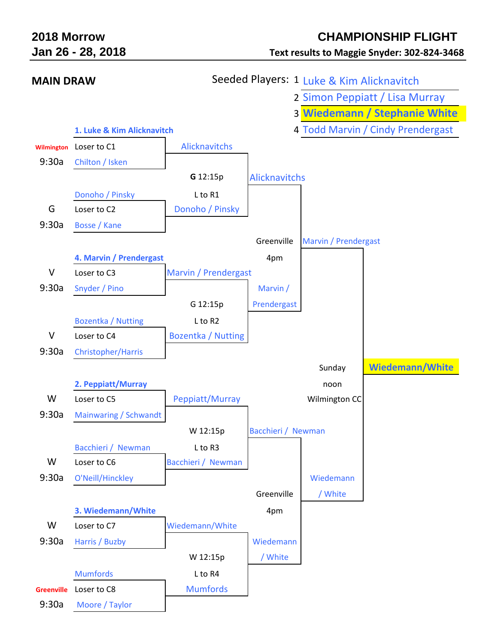| 2018 Morrow       | Jan 26 - 28, 2018          | <b>CHAMPIONSHIP F</b><br><b>Text results to Maggie Snyder: 302</b> |  |  |  |
|-------------------|----------------------------|--------------------------------------------------------------------|--|--|--|
| <b>MAIN DRAW</b>  |                            | Seeded Players: 1 Luke & Kim Alicknavitch                          |  |  |  |
|                   |                            | 2 Simon Peppiatt / Lisa M                                          |  |  |  |
|                   |                            | 3 Wiedemann / Stephani                                             |  |  |  |
|                   | 1. Luke & Kim Alicknavitch | 4 Todd Marvin / Cindy Pren                                         |  |  |  |
| <b>Wilmington</b> | Loser to C1<br>$0.202 - 0$ | <b>Alicknavitchs</b>                                               |  |  |  |

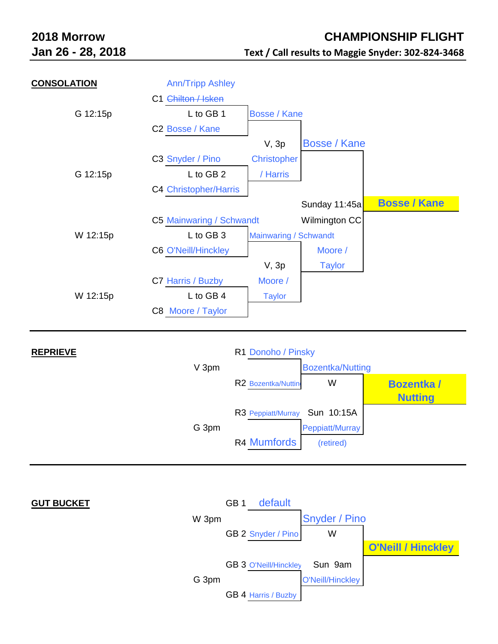| <b>CONSOLATION</b> | <b>Ann/Tripp Ashley</b>      |                       |                     |                     |
|--------------------|------------------------------|-----------------------|---------------------|---------------------|
|                    | C1 Chilton / Isken           |                       |                     |                     |
| G 12:15p           | L to GB 1                    | Bosse / Kane          |                     |                     |
|                    | C <sub>2</sub> Bosse / Kane  |                       |                     |                     |
|                    |                              | $V$ , $3p$            | <b>Bosse / Kane</b> |                     |
|                    | C3 Snyder / Pino             | <b>Christopher</b>    |                     |                     |
| G 12:15p           | L to GB 2                    | / Harris              |                     |                     |
|                    | <b>C4 Christopher/Harris</b> |                       |                     |                     |
|                    |                              |                       | Sunday 11:45a       | <b>Bosse / Kane</b> |
|                    | C5 Mainwaring / Schwandt     |                       | Wilmington CC       |                     |
| W 12:15p           | L to GB 3                    | Mainwaring / Schwandt |                     |                     |
|                    | <b>C6 O'Neill/Hinckley</b>   |                       | Moore /             |                     |
|                    |                              | $V$ , $3p$            | <b>Taylor</b>       |                     |
|                    | C7 Harris / Buzby            | Moore /               |                     |                     |
| W 12:15p           | L to GB 4                    | <b>Taylor</b>         |                     |                     |
|                    | C8 Moore / Taylor            |                       |                     |                     |
|                    |                              |                       |                     |                     |



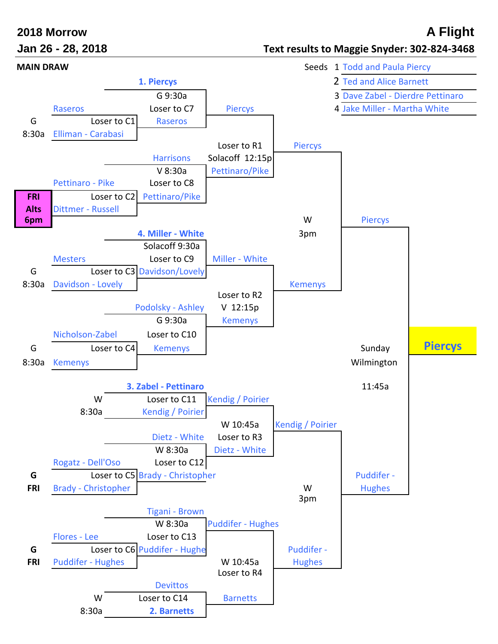## **2018 Morrow A Flight**

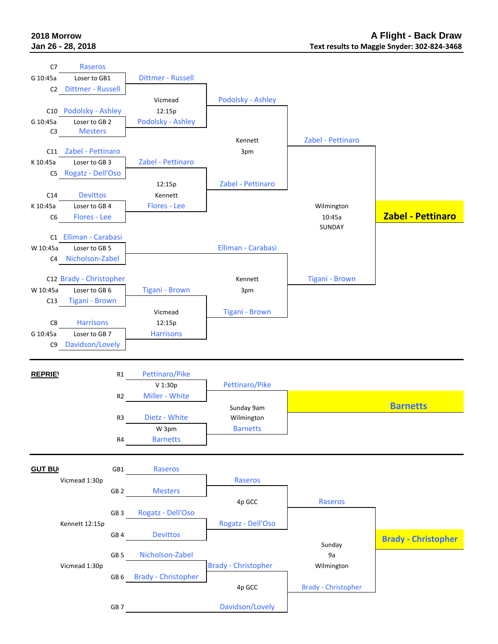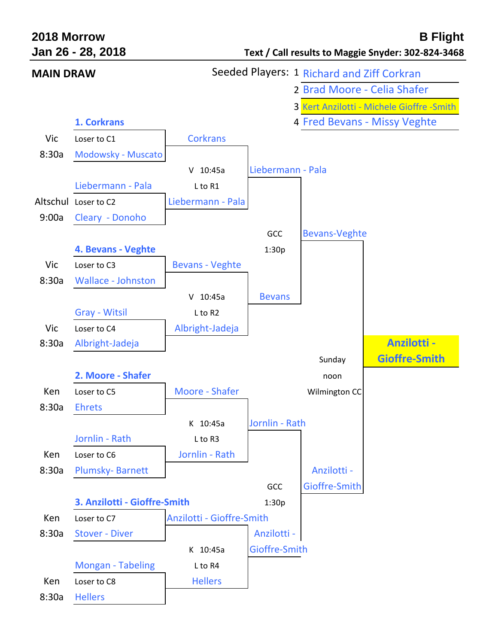| 2018 Morrow      | Jan 26 - 28, 2018            |                                            |                   |                             | <b>B Flight</b><br>Text / Call results to Maggie Snyder: 302-824-3468 |
|------------------|------------------------------|--------------------------------------------|-------------------|-----------------------------|-----------------------------------------------------------------------|
| <b>MAIN DRAW</b> |                              | Seeded Players: 1 Richard and Ziff Corkran |                   |                             |                                                                       |
|                  |                              |                                            |                   | 2 Brad Moore - Celia Shafer |                                                                       |
|                  |                              |                                            |                   |                             | 3 Kert Anzilotti - Michele Gioffre - Smith                            |
|                  | 1. Corkrans                  |                                            |                   |                             | 4 Fred Bevans - Missy Veghte                                          |
| Vic              | Loser to C1                  | <b>Corkrans</b>                            |                   |                             |                                                                       |
| 8:30a            | Modowsky - Muscato           |                                            |                   |                             |                                                                       |
|                  |                              | $V$ 10:45a                                 | Liebermann - Pala |                             |                                                                       |
|                  | Liebermann - Pala            | L to R1                                    |                   |                             |                                                                       |
|                  | Altschul Loser to C2         | Liebermann - Pala                          |                   |                             |                                                                       |
| 9:00a            | Cleary - Donoho              |                                            |                   |                             |                                                                       |
|                  |                              |                                            | GCC               | <b>Bevans-Veghte</b>        |                                                                       |
|                  | 4. Bevans - Veghte           |                                            | 1:30p             |                             |                                                                       |
| Vic              | Loser to C3                  | <b>Bevans - Veghte</b>                     |                   |                             |                                                                       |
| 8:30a            | <b>Wallace - Johnston</b>    |                                            |                   |                             |                                                                       |
|                  |                              | $V$ 10:45a                                 | <b>Bevans</b>     |                             |                                                                       |
|                  | <b>Gray - Witsil</b>         | L to R2                                    |                   |                             |                                                                       |
| Vic              | Loser to C4                  | Albright-Jadeja                            |                   |                             |                                                                       |
| 8:30a            | Albright-Jadeja              |                                            |                   |                             | <b>Anzilotti -</b>                                                    |
|                  |                              |                                            |                   | Sunday                      | <b>Gioffre-Smith</b>                                                  |
|                  | 2. Moore - Shafer            |                                            |                   | noon                        |                                                                       |
| Ken              | Loser to C5                  | Moore - Shafer                             |                   | Wilmington CC               |                                                                       |
| 8:30a            | <b>Ehrets</b>                |                                            |                   |                             |                                                                       |
|                  |                              | K 10:45a                                   | Jornlin - Rath    |                             |                                                                       |
|                  | Jornlin - Rath               | L to R3                                    |                   |                             |                                                                       |
| Ken              | Loser to C6                  | Jornlin - Rath                             |                   |                             |                                                                       |
| 8:30a            | <b>Plumsky-Barnett</b>       |                                            |                   | Anzilotti -                 |                                                                       |
|                  |                              |                                            | GCC               | Gioffre-Smith               |                                                                       |
|                  | 3. Anzilotti - Gioffre-Smith |                                            | 1:30p             |                             |                                                                       |
| Ken              | Loser to C7                  | Anzilotti - Gioffre-Smith                  |                   |                             |                                                                       |
| 8:30a            | <b>Stover - Diver</b>        |                                            | Anzilotti -       |                             |                                                                       |
|                  |                              | K 10:45a                                   | Gioffre-Smith     |                             |                                                                       |
|                  | <b>Mongan - Tabeling</b>     | L to R4                                    |                   |                             |                                                                       |
| Ken              | Loser to C8                  | <b>Hellers</b>                             |                   |                             |                                                                       |
| 8:30a            | <b>Hellers</b>               |                                            |                   |                             |                                                                       |